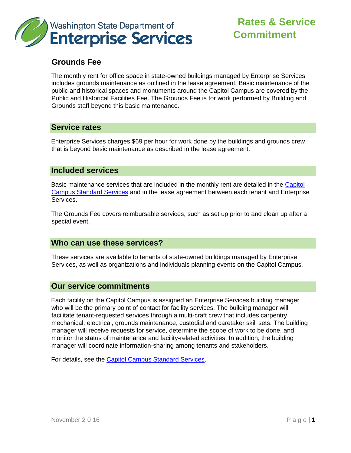

# **Rates & Service Commitment**

## **Grounds Fee**

The monthly rent for office space in state-owned buildings managed by Enterprise Services includes grounds maintenance as outlined in the lease agreement. Basic maintenance of the public and historical spaces and monuments around the Capitol Campus are covered by the Public and Historical Facilities Fee. The Grounds Fee is for work performed by Building and Grounds staff beyond this basic maintenance.

## **Service rates**

Enterprise Services charges \$69 per hour for work done by the buildings and grounds crew that is beyond basic maintenance as described in the lease agreement.

#### **Included services**

Basic maintenance services that are included in the monthly rent are detailed in the [Capitol](http://www.des.wa.gov/SiteCollectionDocuments/Facilities/CapitolCampusStandardServices.pdf) [Campus Standard Services](http://www.des.wa.gov/SiteCollectionDocuments/Facilities/CapitolCampusStandardServices.pdf) and in the lease agreement between each tenant and Enterprise Services.

The Grounds Fee covers reimbursable services, such as set up prior to and clean up after a special event.

## **Who can use these services?**

These services are available to tenants of state-owned buildings managed by Enterprise Services, as well as organizations and individuals planning events on the Capitol Campus.

#### **Our service commitments**

Each facility on the Capitol Campus is assigned an Enterprise Services building manager who will be the primary point of contact for facility services. The building manager will facilitate tenant-requested services through a multi-craft crew that includes carpentry, mechanical, electrical, grounds maintenance, custodial and caretaker skill sets. The building manager will receive requests for service, determine the scope of work to be done, and monitor the status of maintenance and facility-related activities. In addition, the building manager will coordinate information-sharing among tenants and stakeholders.

For details, see the [Capitol Campus Standard Services.](http://www.des.wa.gov/SiteCollectionDocuments/Facilities/CapitolCampusStandardServices.pdf)